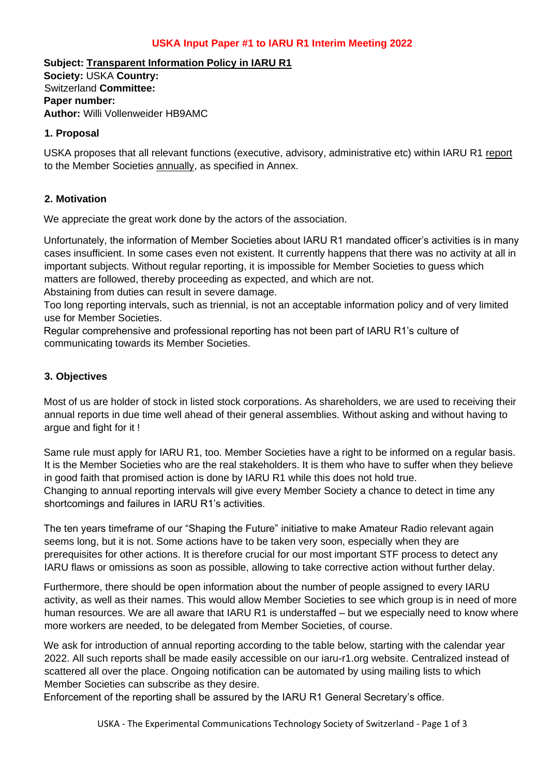## **USKA Input Paper #1 to IARU R1 Interim Meeting 2022**

**Subject: Transparent Information Policy in IARU R1 Society:** USKA **Country:**  Switzerland **Committee: Paper number: Author:** Willi Vollenweider HB9AMC

#### **1. Proposal**

USKA proposes that all relevant functions (executive, advisory, administrative etc) within IARU R1 report to the Member Societies annually, as specified in Annex.

### **2. Motivation**

We appreciate the great work done by the actors of the association.

Unfortunately, the information of Member Societies about IARU R1 mandated officer's activities is in many cases insufficient. In some cases even not existent. It currently happens that there was no activity at all in important subjects. Without regular reporting, it is impossible for Member Societies to guess which matters are followed, thereby proceeding as expected, and which are not.

Abstaining from duties can result in severe damage.

Too long reporting intervals, such as triennial, is not an acceptable information policy and of very limited use for Member Societies.

Regular comprehensive and professional reporting has not been part of IARU R1's culture of communicating towards its Member Societies.

#### **3. Objectives**

Most of us are holder of stock in listed stock corporations. As shareholders, we are used to receiving their annual reports in due time well ahead of their general assemblies. Without asking and without having to argue and fight for it !

Same rule must apply for IARU R1, too. Member Societies have a right to be informed on a regular basis. It is the Member Societies who are the real stakeholders. It is them who have to suffer when they believe in good faith that promised action is done by IARU R1 while this does not hold true. Changing to annual reporting intervals will give every Member Society a chance to detect in time any shortcomings and failures in IARU R1's activities.

The ten years timeframe of our "Shaping the Future" initiative to make Amateur Radio relevant again seems long, but it is not. Some actions have to be taken very soon, especially when they are prerequisites for other actions. It is therefore crucial for our most important STF process to detect any IARU flaws or omissions as soon as possible, allowing to take corrective action without further delay.

Furthermore, there should be open information about the number of people assigned to every IARU activity, as well as their names. This would allow Member Societies to see which group is in need of more human resources. We are all aware that IARU R1 is understaffed – but we especially need to know where more workers are needed, to be delegated from Member Societies, of course.

We ask for introduction of annual reporting according to the table below, starting with the calendar year 2022. All such reports shall be made easily accessible on our iaru-r1.org website. Centralized instead of scattered all over the place. Ongoing notification can be automated by using mailing lists to which Member Societies can subscribe as they desire.

Enforcement of the reporting shall be assured by the IARU R1 General Secretary's office.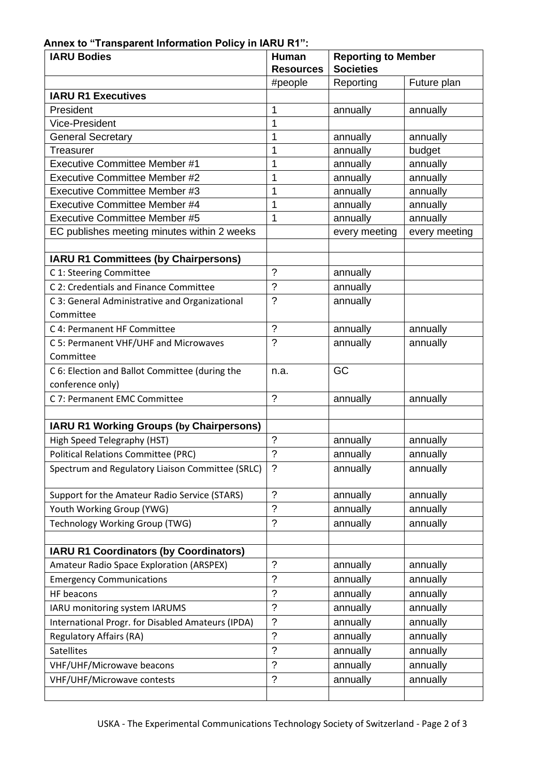# **Annex to "Transparent Information Policy in IARU R1":**

| <b>IARU Bodies</b><br>Human<br><b>Resources</b>   |                          | <b>Reporting to Member</b><br><b>Societies</b> |               |  |
|---------------------------------------------------|--------------------------|------------------------------------------------|---------------|--|
|                                                   | #people                  | Reporting                                      | Future plan   |  |
| <b>IARU R1 Executives</b>                         |                          |                                                |               |  |
| President                                         | 1                        | annually                                       | annually      |  |
| Vice-President                                    | 1                        |                                                |               |  |
| <b>General Secretary</b>                          | 1                        | annually                                       | annually      |  |
| Treasurer                                         | 1                        | annually                                       | budget        |  |
| <b>Executive Committee Member #1</b>              | 1                        | annually                                       | annually      |  |
| <b>Executive Committee Member #2</b>              | 1                        | annually                                       | annually      |  |
| Executive Committee Member #3                     | 1                        | annually                                       | annually      |  |
| <b>Executive Committee Member #4</b>              | 1                        | annually                                       | annually      |  |
| <b>Executive Committee Member #5</b>              | 1                        | annually                                       | annually      |  |
| EC publishes meeting minutes within 2 weeks       |                          | every meeting                                  | every meeting |  |
| <b>IARU R1 Committees (by Chairpersons)</b>       |                          |                                                |               |  |
| C 1: Steering Committee                           | $\gamma$                 | annually                                       |               |  |
| C 2: Credentials and Finance Committee            | $\tilde{?}$              | annually                                       |               |  |
| C 3: General Administrative and Organizational    | $\gamma$                 | annually                                       |               |  |
| Committee                                         |                          |                                                |               |  |
| C 4: Permanent HF Committee                       | $\overline{?}$           | annually                                       | annually      |  |
| C 5: Permanent VHF/UHF and Microwaves             | $\gamma$                 | annually                                       | annually      |  |
| Committee                                         |                          |                                                |               |  |
| C 6: Election and Ballot Committee (during the    | n.a.                     | GC                                             |               |  |
| conference only)                                  |                          |                                                |               |  |
| C 7: Permanent EMC Committee                      | $\gamma$                 | annually                                       | annually      |  |
|                                                   |                          |                                                |               |  |
| <b>IARU R1 Working Groups (by Chairpersons)</b>   |                          |                                                |               |  |
| High Speed Telegraphy (HST)                       | $\overline{?}$           | annually                                       | annually      |  |
| <b>Political Relations Committee (PRC)</b>        | $\overline{\phantom{a}}$ | annually                                       | annually      |  |
| Spectrum and Regulatory Liaison Committee (SRLC)  | $\gamma$                 | annually                                       | annually      |  |
| Support for the Amateur Radio Service (STARS)     | $\tilde{?}$              | annually                                       | annually      |  |
| Youth Working Group (YWG)                         | $\tilde{?}$              | annually                                       | annually      |  |
| <b>Technology Working Group (TWG)</b>             | $\tilde{?}$              | annually                                       | annually      |  |
|                                                   |                          |                                                |               |  |
| <b>IARU R1 Coordinators (by Coordinators)</b>     |                          |                                                |               |  |
| Amateur Radio Space Exploration (ARSPEX)          | $\overline{\mathcal{E}}$ | annually                                       | annually      |  |
| <b>Emergency Communications</b>                   | ?                        | annually                                       | annually      |  |
| HF beacons                                        | ?                        | annually                                       | annually      |  |
| IARU monitoring system IARUMS                     | $\tilde{?}$              | annually                                       | annually      |  |
| International Progr. for Disabled Amateurs (IPDA) | $\ddot{\phantom{0}}$     | annually                                       | annually      |  |
| <b>Regulatory Affairs (RA)</b>                    | $\gamma$                 | annually                                       | annually      |  |
| <b>Satellites</b>                                 | ?                        | annually                                       | annually      |  |
| VHF/UHF/Microwave beacons                         | $\gamma$                 | annually                                       | annually      |  |
| VHF/UHF/Microwave contests                        | $\tilde{?}$              | annually                                       | annually      |  |
|                                                   |                          |                                                |               |  |